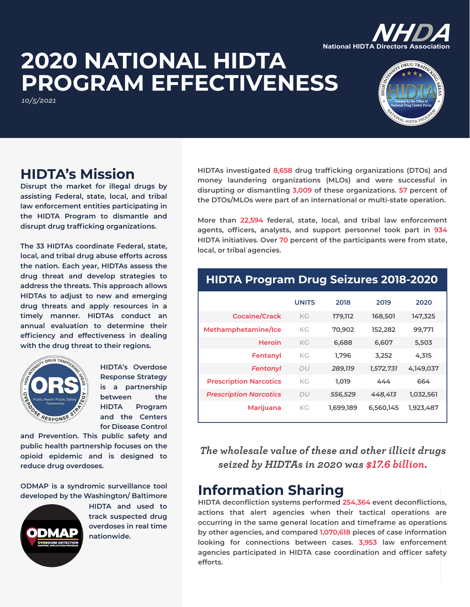### **2020 NATIONAL HIDTA PROGRAM EFFECTIVENESS National HIDTA Directors**

*10/5/2021*



### **HIDTA's Mission**

**Disrupt the market for illegal drugs by assisting Federal, state, local, and tribal law enforcement entities participating in the HIDTA Program to dismantle and disrupt drug trafficking organizations.**

**The 33 HIDTAs coordinate Federal, state, local, and tribal drug abuse efforts across the nation. Each year, HIDTAs assess the drug threat and develop strategies to address the threats. This approach allows HIDTAs to adjust to new and emerging drug threats and apply resources in a timely manner. HIDTAs conduct an annual evaluation to determine their efficiency and effectiveness in dealing with the drug threat to their regions.**



**HIDTA's Overdose Response Strategy is a partnership between the HIDTA Program and the Centers for Disease Control** 

**and Prevention. This public safety and public health partnership focuses on the opioid epidemic and is designed to reduce drug overdoses.**

**ODMAP is a syndromic surveillance tool developed by the Washington/ Baltimore** 



**HIDTA and used to track suspected drug overdoses in real time nationwide.**

**HIDTAs investigated 8,658 drug trafficking organizations (DTOs) and money laundering organizations (MLOs) and were successful in disrupting or dismantling 3,009 of these organizations. 57 percent of the DTOs/MLOs were part of an international or multi-state operation.**

**More than 22,594 federal, state, local, and tribal law enforcement agents, officers, analysts, and support personnel took part in 934 HIDTA initiatives. Over 70 percent of the participants were from state, local, or tribal agencies.**

#### **HIDTA Program Drug Seizures 2018-2020**

|                               | <b>UNITS</b> | 2018      | 2019      | 2020      |
|-------------------------------|--------------|-----------|-----------|-----------|
|                               |              |           |           |           |
| <b>Cocaine/Crack</b>          | <b>KG</b>    | 179,112   | 168,501   | 147,325   |
| Methamphetamine/Ice           | <b>KG</b>    | 70,902    | 152,282   | 99,771    |
| <b>Heroin</b>                 | KG           | 6,688     | 6,607     | 5,503     |
| Fentanyl                      | KG           | 1.796     | 3,252     | 4,315     |
| Fentanyl                      | DU           | 289,119   | 1,572,731 | 4,149,037 |
| <b>Prescription Narcotics</b> | <b>KG</b>    | 1.019     | 444       | 664       |
| <b>Prescription Narcotics</b> | DU           | 556,529   | 448,413   | 1,032,561 |
| Marijuana                     | KG.          | 1,699,189 | 6,560,145 | 1,923,487 |

*The wholesale value of these and other illicit drugs seized by HIDTAs in 2020 was \$17.6 billion.*

#### **Information Sharing**

**HIDTA deconfliction systems performed 254,364 event deconflictions, actions that alert agencies when their tactical operations are occurring in the same general location and timeframe as operations by other agencies, and compared 1,070,618 pieces of case information looking for connections between cases. 3,953 law enforcement agencies participated in HIDTA case coordination and officer safety efforts.**